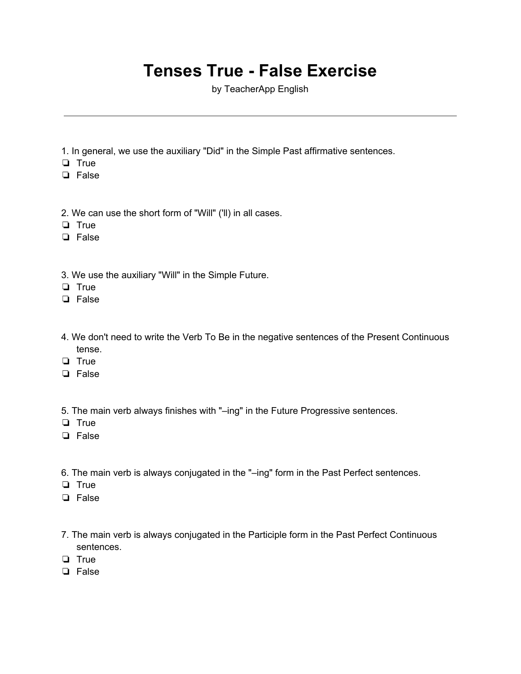## **Tenses True - False Exercise**

by TeacherApp English

- 1. In general, we use the auxiliary "Did" in the Simple Past affirmative sentences.
- ❏ True
- ❏ False
- 2. We can use the short form of "Will" ('ll) in all cases.
- ❏ True
- ❏ False
- 3. We use the auxiliary "Will" in the Simple Future.
- ❏ True
- ❏ False
- 4. We don't need to write the Verb To Be in the negative sentences of the Present Continuous tense.
- ❏ True
- ❏ False
- 5. The main verb always finishes with "–ing" in the Future Progressive sentences.
- ❏ True
- ❏ False
- 6. The main verb is always conjugated in the "–ing" form in the Past Perfect sentences.
- ❏ True
- ❏ False
- 7. The main verb is always conjugated in the Participle form in the Past Perfect Continuous sentences.
- ❏ True
- ❏ False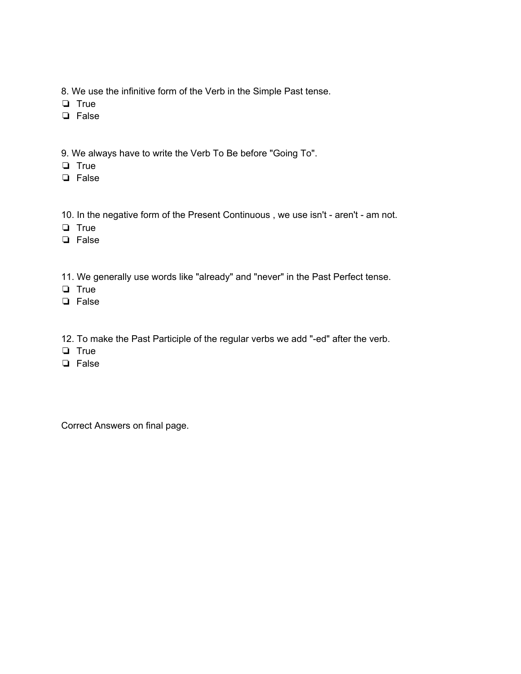- 8. We use the infinitive form of the Verb in the Simple Past tense.
- ❏ True
- ❏ False
- 9. We always have to write the Verb To Be before "Going To".
- ❏ True
- ❏ False
- 10. In the negative form of the Present Continuous , we use isn't aren't am not.
- ❏ True
- ❏ False
- 11. We generally use words like "already" and "never" in the Past Perfect tense.
- ❏ True
- ❏ False
- 12. To make the Past Participle of the regular verbs we add "-ed" after the verb.
- ❏ True
- ❏ False

Correct Answers on final page.